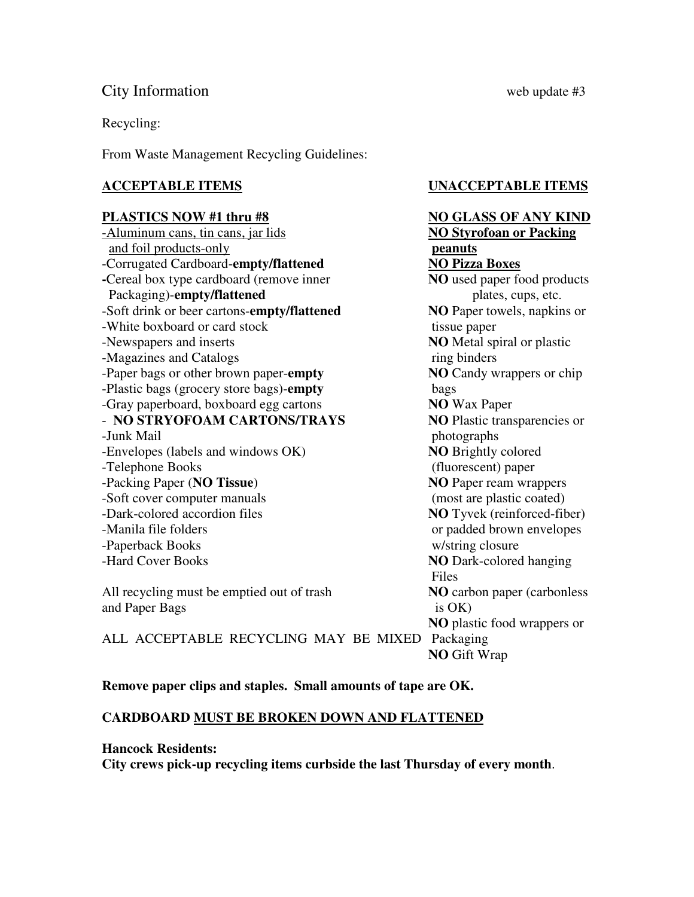# City Information web update #3

Recycling:

From Waste Management Recycling Guidelines:

### **PLASTICS NOW #1 thru #8** NO GLASS OF ANY KIND

-Aluminum cans, tin cans, jar lids **NO Styrofoan or Packing** and foil products-only **peanuts** -Corrugated Cardboard-**empty/flattened NO Pizza Boxes -**Cereal box type cardboard (remove inner **NO** used paper food products Packaging)-**empty/flattened** plates, cups, etc. -Soft drink or beer cartons-**empty/flattened NO** Paper towels, napkins or -White boxboard or card stock tissue paper -Newspapers and inserts **NO** Metal spiral or plastic -Magazines and Catalogs ring binders -Paper bags or other brown paper-**empty NO** Candy wrappers or chip -Plastic bags (grocery store bags)-**empty** bags -Gray paperboard, boxboard egg cartons **NO** Wax Paper - **NO STRYOFOAM CARTONS/TRAYS** NO Plastic transparencies or -Junk Mail photographs -Envelopes (labels and windows OK) **NO** Brightly colored -Telephone Books (fluorescent) paper -Packing Paper (**NO Tissue**) **NO** Paper ream wrappers -Soft cover computer manuals (most are plastic coated) -Dark-colored accordion files **NO** Tyvek (reinforced-fiber) -Manila file folders or padded brown envelopes -Paperback Books w/string closure -Hard Cover Books **NO** Dark-colored hanging **Files** 

All recycling must be emptied out of trash **NO** carbon paper (carbonless and Paper Bags is OK)

**ACCEPTABLE ITEMS UNACCEPTABLE ITEMS** 

# **NO** plastic food wrappers or ALL ACCEPTABLE RECYCLING MAY BE MIXED Packaging **NO** Gift Wrap

**Remove paper clips and staples. Small amounts of tape are OK.** 

## **CARDBOARD MUST BE BROKEN DOWN AND FLATTENED**

### **Hancock Residents:**

**City crews pick-up recycling items curbside the last Thursday of every month**.